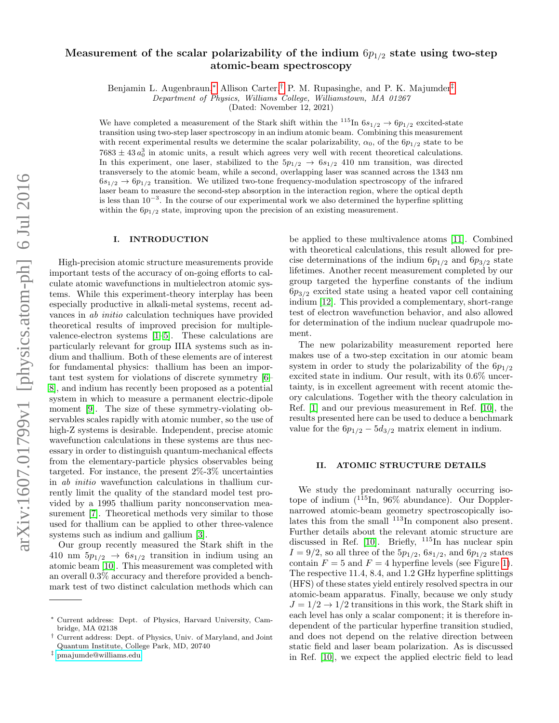# Measurement of the scalar polarizability of the indium  $6p_{1/2}$  state using two-step atomic-beam spectroscopy

Benjamin L. Augenbraun,[∗](#page-0-0) Allison Carter,[†](#page-0-1) P. M. Rupasinghe, and P. K. Majumder[‡](#page-0-2)

Department of Physics, Williams College, Williamstown, MA 01267

(Dated: November 12, 2021)

We have completed a measurement of the Stark shift within the <sup>115</sup>In  $6s_{1/2} \rightarrow 6p_{1/2}$  excited-state transition using two-step laser spectroscopy in an indium atomic beam. Combining this measurement with recent experimental results we determine the scalar polarizability,  $\alpha_0$ , of the  $6p_{1/2}$  state to be  $7683 \pm 43 \, a_0^3$  in atomic units, a result which agrees very well with recent theoretical calculations. In this experiment, one laser, stabilized to the  $5p_{1/2} \rightarrow 6s_{1/2}$  410 nm transition, was directed transversely to the atomic beam, while a second, overlapping laser was scanned across the 1343 nm  $6s_{1/2} \rightarrow 6p_{1/2}$  transition. We utilized two-tone frequency-modulation spectroscopy of the infrared laser beam to measure the second-step absorption in the interaction region, where the optical depth is less than 10<sup>−</sup><sup>3</sup> . In the course of our experimental work we also determined the hyperfine splitting within the  $6p_{1/2}$  state, improving upon the precision of an existing measurement.

### I. INTRODUCTION

High-precision atomic structure measurements provide important tests of the accuracy of on-going efforts to calculate atomic wavefunctions in multielectron atomic systems. While this experiment-theory interplay has been especially productive in alkali-metal systems, recent advances in ab initio calculation techniques have provided theoretical results of improved precision for multiplevalence-electron systems [\[1](#page-8-0)[–5\]](#page-8-1). These calculations are particularly relevant for group IIIA systems such as indium and thallium. Both of these elements are of interest for fundamental physics: thallium has been an important test system for violations of discrete symmetry [\[6–](#page-8-2) [8\]](#page-8-3), and indium has recently been proposed as a potential system in which to measure a permanent electric-dipole moment [\[9\]](#page-8-4). The size of these symmetry-violating observables scales rapidly with atomic number, so the use of high-Z systems is desirable. Independent, precise atomic wavefunction calculations in these systems are thus necessary in order to distinguish quantum-mechanical effects from the elementary-particle physics observables being targeted. For instance, the present 2%-3% uncertainties in ab initio wavefunction calculations in thallium currently limit the quality of the standard model test provided by a 1995 thallium parity nonconservation measurement [\[7\]](#page-8-5). Theoretical methods very similar to those used for thallium can be applied to other three-valence systems such as indium and gallium [\[3\]](#page-8-6).

Our group recently measured the Stark shift in the 410 nm  $5p_{1/2} \rightarrow 6s_{1/2}$  transition in indium using an atomic beam [\[10\]](#page-8-7). This measurement was completed with an overall 0.3% accuracy and therefore provided a benchmark test of two distinct calculation methods which can be applied to these multivalence atoms [\[11\]](#page-8-8). Combined with theoretical calculations, this result allowed for precise determinations of the indium  $6p_{1/2}$  and  $6p_{3/2}$  state lifetimes. Another recent measurement completed by our group targeted the hyperfine constants of the indium  $6p_{3/2}$  excited state using a heated vapor cell containing indium [\[12\]](#page-8-9). This provided a complementary, short-range test of electron wavefunction behavior, and also allowed for determination of the indium nuclear quadrupole moment.

The new polarizability measurement reported here makes use of a two-step excitation in our atomic beam system in order to study the polarizability of the  $6p_{1/2}$ excited state in indium. Our result, with its 0.6% uncertainty, is in excellent agreement with recent atomic theory calculations. Together with the theory calculation in Ref. [\[1\]](#page-8-0) and our previous measurement in Ref. [\[10\]](#page-8-7), the results presented here can be used to deduce a benchmark value for the  $6p_{1/2} - 5d_{3/2}$  matrix element in indium.

### II. ATOMIC STRUCTURE DETAILS

We study the predominant naturally occurring isotope of indium (<sup>115</sup>In, 96% abundance). Our Dopplernarrowed atomic-beam geometry spectroscopically isolates this from the small <sup>113</sup>In component also present. Further details about the relevant atomic structure are discussed in Ref. [\[10\]](#page-8-7). Briefly, <sup>115</sup>In has nuclear spin  $I = 9/2$ , so all three of the  $5p_{1/2}$ ,  $6s_{1/2}$ , and  $6p_{1/2}$  states contain  $F = 5$  and  $F = 4$  hyperfine levels (see Figure [1\)](#page-1-0). The respective 11.4, 8.4, and 1.2 GHz hyperfine splittings (HFS) of these states yield entirely resolved spectra in our atomic-beam apparatus. Finally, because we only study  $J = 1/2 \rightarrow 1/2$  transitions in this work, the Stark shift in each level has only a scalar component; it is therefore independent of the particular hyperfine transition studied, and does not depend on the relative direction between static field and laser beam polarization. As is discussed in Ref. [\[10\]](#page-8-7), we expect the applied electric field to lead

<span id="page-0-0"></span><sup>∗</sup> Current address: Dept. of Physics, Harvard University, Cambridge, MA 02138

<span id="page-0-1"></span><sup>†</sup> Current address: Dept. of Physics, Univ. of Maryland, and Joint Quantum Institute, College Park, MD, 20740

<span id="page-0-2"></span><sup>‡</sup> [pmajumde@williams.edu](mailto:pmajumde@williams.edu)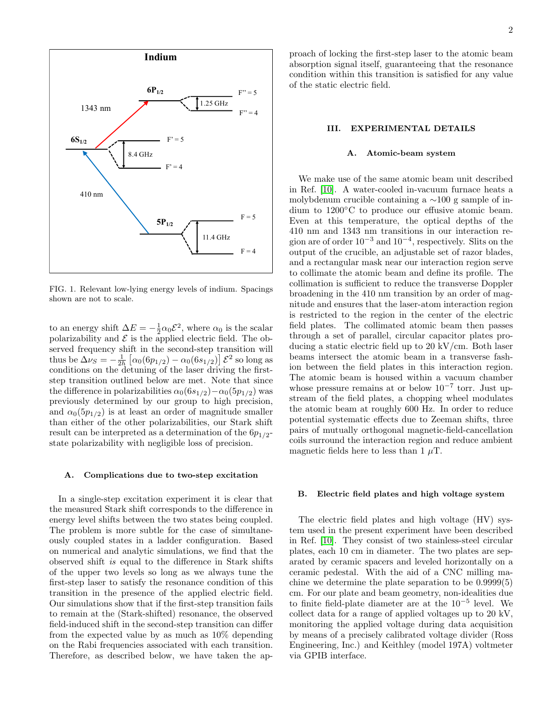

<span id="page-1-0"></span>FIG. 1. Relevant low-lying energy levels of indium. Spacings shown are not to scale.

to an energy shift  $\Delta E = -\frac{1}{2}\alpha_0 \mathcal{E}^2$ , where  $\alpha_0$  is the scalar polarizability and  $\mathcal E$  is the applied electric field. The observed frequency shift in the second-step transition will thus be  $\Delta \nu_S = -\frac{1}{2h} \left[ \alpha_0 (6p_{1/2}) - \alpha_0 (6s_{1/2}) \right] \mathcal{E}^2$  so long as conditions on the detuning of the laser driving the firststep transition outlined below are met. Note that since the difference in polarizabilities  $\alpha_0(6s_{1/2})-\alpha_0(5p_{1/2})$  was previously determined by our group to high precision, and  $\alpha_0(5p_{1/2})$  is at least an order of magnitude smaller than either of the other polarizabilities, our Stark shift result can be interpreted as a determination of the  $6p_{1/2}$ state polarizability with negligible loss of precision.

### A. Complications due to two-step excitation

In a single-step excitation experiment it is clear that the measured Stark shift corresponds to the difference in energy level shifts between the two states being coupled. The problem is more subtle for the case of simultaneously coupled states in a ladder configuration. Based on numerical and analytic simulations, we find that the observed shift is equal to the difference in Stark shifts of the upper two levels so long as we always tune the first-step laser to satisfy the resonance condition of this transition in the presence of the applied electric field. Our simulations show that if the first-step transition fails to remain at the (Stark-shifted) resonance, the observed field-induced shift in the second-step transition can differ from the expected value by as much as 10% depending on the Rabi frequencies associated with each transition. Therefore, as described below, we have taken the ap-

proach of locking the first-step laser to the atomic beam absorption signal itself, guaranteeing that the resonance condition within this transition is satisfied for any value of the static electric field.

#### III. EXPERIMENTAL DETAILS

#### A. Atomic-beam system

We make use of the same atomic beam unit described in Ref. [\[10\]](#page-8-7). A water-cooled in-vacuum furnace heats a molybdenum crucible containing a ∼100 g sample of indium to 1200◦C to produce our effusive atomic beam. Even at this temperature, the optical depths of the 410 nm and 1343 nm transitions in our interaction region are of order  $10^{-3}$  and  $10^{-4}$ , respectively. Slits on the output of the crucible, an adjustable set of razor blades, and a rectangular mask near our interaction region serve to collimate the atomic beam and define its profile. The collimation is sufficient to reduce the transverse Doppler broadening in the 410 nm transition by an order of magnitude and ensures that the laser-atom interaction region is restricted to the region in the center of the electric field plates. The collimated atomic beam then passes through a set of parallel, circular capacitor plates producing a static electric field up to 20 kV/cm. Both laser beams intersect the atomic beam in a transverse fashion between the field plates in this interaction region. The atomic beam is housed within a vacuum chamber whose pressure remains at or below 10<sup>−</sup><sup>7</sup> torr. Just upstream of the field plates, a chopping wheel modulates the atomic beam at roughly 600 Hz. In order to reduce potential systematic effects due to Zeeman shifts, three pairs of mutually orthogonal magnetic-field-cancellation coils surround the interaction region and reduce ambient magnetic fields here to less than 1  $\mu$ T.

#### B. Electric field plates and high voltage system

The electric field plates and high voltage (HV) system used in the present experiment have been described in Ref. [\[10\]](#page-8-7). They consist of two stainless-steel circular plates, each 10 cm in diameter. The two plates are separated by ceramic spacers and leveled horizontally on a ceramic pedestal. With the aid of a CNC milling machine we determine the plate separation to be 0.9999(5) cm. For our plate and beam geometry, non-idealities due to finite field-plate diameter are at the 10<sup>−</sup><sup>5</sup> level. We collect data for a range of applied voltages up to 20 kV, monitoring the applied voltage during data acquisition by means of a precisely calibrated voltage divider (Ross Engineering, Inc.) and Keithley (model 197A) voltmeter via GPIB interface.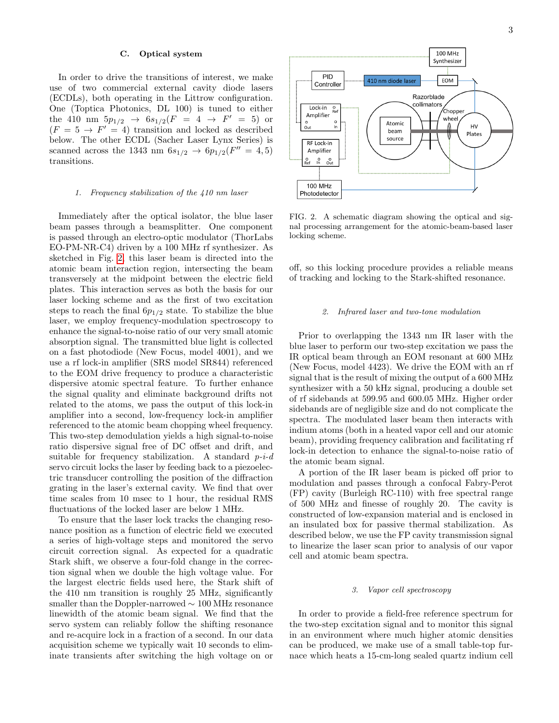#### C. Optical system

In order to drive the transitions of interest, we make use of two commercial external cavity diode lasers (ECDLs), both operating in the Littrow configuration. One (Toptica Photonics, DL 100) is tuned to either the 410 nm  $5p_{1/2} \rightarrow 6s_{1/2}(F = 4 \rightarrow F' = 5)$  or  $(F = 5 \rightarrow F' = 4)$  transition and locked as described below. The other ECDL (Sacher Laser Lynx Series) is scanned across the 1343 nm  $6s_{1/2} \to 6p_{1/2}(F'' = 4, 5)$ transitions.

#### 1. Frequency stabilization of the 410 nm laser

Immediately after the optical isolator, the blue laser beam passes through a beamsplitter. One component is passed through an electro-optic modulator (ThorLabs EO-PM-NR-C4) driven by a 100 MHz rf synthesizer. As sketched in Fig. [2,](#page-2-0) this laser beam is directed into the atomic beam interaction region, intersecting the beam transversely at the midpoint between the electric field plates. This interaction serves as both the basis for our laser locking scheme and as the first of two excitation steps to reach the final  $6p_{1/2}$  state. To stabilize the blue laser, we employ frequency-modulation spectroscopy to enhance the signal-to-noise ratio of our very small atomic absorption signal. The transmitted blue light is collected on a fast photodiode (New Focus, model 4001), and we use a rf lock-in amplifier (SRS model SR844) referenced to the EOM drive frequency to produce a characteristic dispersive atomic spectral feature. To further enhance the signal quality and eliminate background drifts not related to the atoms, we pass the output of this lock-in amplifier into a second, low-frequency lock-in amplifier referenced to the atomic beam chopping wheel frequency. This two-step demodulation yields a high signal-to-noise ratio dispersive signal free of DC offset and drift, and suitable for frequency stabilization. A standard  $p-i-d$ servo circuit locks the laser by feeding back to a piezoelectric transducer controlling the position of the diffraction grating in the laser's external cavity. We find that over time scales from 10 msec to 1 hour, the residual RMS fluctuations of the locked laser are below 1 MHz.

To ensure that the laser lock tracks the changing resonance position as a function of electric field we executed a series of high-voltage steps and monitored the servo circuit correction signal. As expected for a quadratic Stark shift, we observe a four-fold change in the correction signal when we double the high voltage value. For the largest electric fields used here, the Stark shift of the 410 nm transition is roughly 25 MHz, significantly smaller than the Doppler-narrowed ∼ 100 MHz resonance linewidth of the atomic beam signal. We find that the servo system can reliably follow the shifting resonance and re-acquire lock in a fraction of a second. In our data acquisition scheme we typically wait 10 seconds to eliminate transients after switching the high voltage on or



<span id="page-2-0"></span>FIG. 2. A schematic diagram showing the optical and signal processing arrangement for the atomic-beam-based laser locking scheme.

off, so this locking procedure provides a reliable means of tracking and locking to the Stark-shifted resonance.

#### 2. Infrared laser and two-tone modulation

Prior to overlapping the 1343 nm IR laser with the blue laser to perform our two-step excitation we pass the IR optical beam through an EOM resonant at 600 MHz (New Focus, model 4423). We drive the EOM with an rf signal that is the result of mixing the output of a 600 MHz synthesizer with a 50 kHz signal, producing a double set of rf sidebands at 599.95 and 600.05 MHz. Higher order sidebands are of negligible size and do not complicate the spectra. The modulated laser beam then interacts with indium atoms (both in a heated vapor cell and our atomic beam), providing frequency calibration and facilitating rf lock-in detection to enhance the signal-to-noise ratio of the atomic beam signal.

A portion of the IR laser beam is picked off prior to modulation and passes through a confocal Fabry-Perot (FP) cavity (Burleigh RC-110) with free spectral range of 500 MHz and finesse of roughly 20. The cavity is constructed of low-expansion material and is enclosed in an insulated box for passive thermal stabilization. As described below, we use the FP cavity transmission signal to linearize the laser scan prior to analysis of our vapor cell and atomic beam spectra.

### 3. Vapor cell spectroscopy

In order to provide a field-free reference spectrum for the two-step excitation signal and to monitor this signal in an environment where much higher atomic densities can be produced, we make use of a small table-top furnace which heats a 15-cm-long sealed quartz indium cell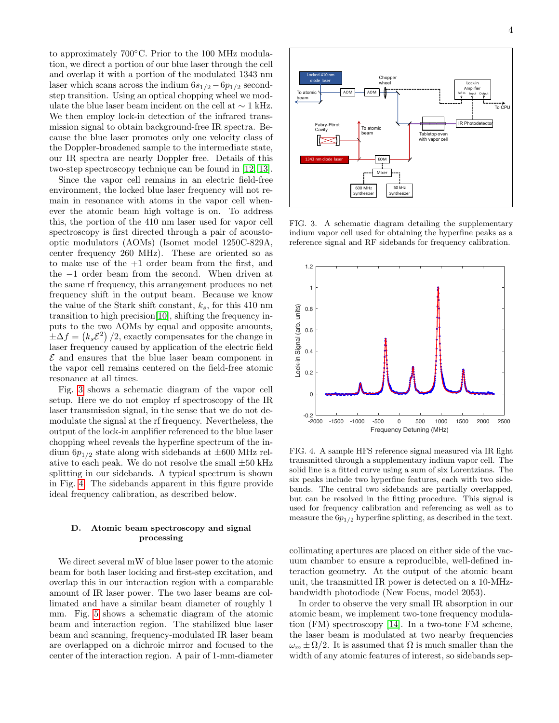to approximately 700◦C. Prior to the 100 MHz modulation, we direct a portion of our blue laser through the cell and overlap it with a portion of the modulated 1343 nm laser which scans across the indium  $6s_{1/2} - 6p_{1/2}$  secondstep transition. Using an optical chopping wheel we modulate the blue laser beam incident on the cell at ∼ 1 kHz. We then employ lock-in detection of the infrared transmission signal to obtain background-free IR spectra. Because the blue laser promotes only one velocity class of the Doppler-broadened sample to the intermediate state, our IR spectra are nearly Doppler free. Details of this two-step spectroscopy technique can be found in [\[12,](#page-8-9) [13\]](#page-8-10).

Since the vapor cell remains in an electric field-free environment, the locked blue laser frequency will not remain in resonance with atoms in the vapor cell whenever the atomic beam high voltage is on. To address this, the portion of the 410 nm laser used for vapor cell spectroscopy is first directed through a pair of acoustooptic modulators (AOMs) (Isomet model 1250C-829A, center frequency 260 MHz). These are oriented so as to make use of the  $+1$  order beam from the first, and the −1 order beam from the second. When driven at the same rf frequency, this arrangement produces no net frequency shift in the output beam. Because we know the value of the Stark shift constant,  $k_s$ , for this 410 nm transition to high precision[\[10\]](#page-8-7), shifting the frequency inputs to the two AOMs by equal and opposite amounts,  $\pm \Delta f = (k_s \mathcal{E}^2)/2$ , exactly compensates for the change in laser frequency caused by application of the electric field  $\mathcal E$  and ensures that the blue laser beam component in the vapor cell remains centered on the field-free atomic resonance at all times.

Fig. [3](#page-3-0) shows a schematic diagram of the vapor cell setup. Here we do not employ rf spectroscopy of the IR laser transmission signal, in the sense that we do not demodulate the signal at the rf frequency. Nevertheless, the output of the lock-in amplifier referenced to the blue laser chopping wheel reveals the hyperfine spectrum of the indium  $6p_{1/2}$  state along with sidebands at  $\pm 600$  MHz relative to each peak. We do not resolve the small  $\pm 50$  kHz splitting in our sidebands. A typical spectrum is shown in Fig. [4.](#page-3-1) The sidebands apparent in this figure provide ideal frequency calibration, as described below.

### D. Atomic beam spectroscopy and signal processing

We direct several mW of blue laser power to the atomic beam for both laser locking and first-step excitation, and overlap this in our interaction region with a comparable amount of IR laser power. The two laser beams are collimated and have a similar beam diameter of roughly 1 mm. Fig. [5](#page-4-0) shows a schematic diagram of the atomic beam and interaction region. The stabilized blue laser beam and scanning, frequency-modulated IR laser beam are overlapped on a dichroic mirror and focused to the center of the interaction region. A pair of 1-mm-diameter



<span id="page-3-0"></span>FIG. 3. A schematic diagram detailing the supplementary indium vapor cell used for obtaining the hyperfine peaks as a reference signal and RF sidebands for frequency calibration.



<span id="page-3-1"></span>FIG. 4. A sample HFS reference signal measured via IR light transmitted through a supplementary indium vapor cell. The solid line is a fitted curve using a sum of six Lorentzians. The six peaks include two hyperfine features, each with two sidebands. The central two sidebands are partially overlapped, but can be resolved in the fitting procedure. This signal is used for frequency calibration and referencing as well as to measure the  $6p_{1/2}$  hyperfine splitting, as described in the text.

collimating apertures are placed on either side of the vacuum chamber to ensure a reproducible, well-defined interaction geometry. At the output of the atomic beam unit, the transmitted IR power is detected on a 10-MHzbandwidth photodiode (New Focus, model 2053).

In order to observe the very small IR absorption in our atomic beam, we implement two-tone frequency modulation (FM) spectroscopy [\[14\]](#page-8-11). In a two-tone FM scheme, the laser beam is modulated at two nearby frequencies  $\omega_m \pm \Omega/2$ . It is assumed that  $\Omega$  is much smaller than the width of any atomic features of interest, so sidebands sep-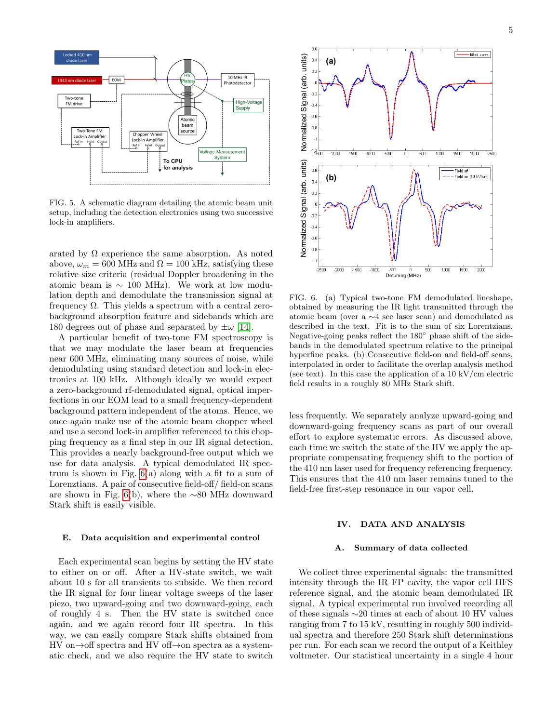

<span id="page-4-0"></span>FIG. 5. A schematic diagram detailing the atomic beam unit setup, including the detection electronics using two successive lock-in amplifiers.

arated by  $\Omega$  experience the same absorption. As noted above,  $\omega_m = 600$  MHz and  $\Omega = 100$  kHz, satisfying these relative size criteria (residual Doppler broadening in the atomic beam is  $\sim 100$  MHz). We work at low modulation depth and demodulate the transmission signal at frequency Ω. This yields a spectrum with a central zerobackground absorption feature and sidebands which are 180 degrees out of phase and separated by  $\pm \omega$  [\[14\]](#page-8-11).

A particular benefit of two-tone FM spectroscopy is that we may modulate the laser beam at frequencies near 600 MHz, eliminating many sources of noise, while demodulating using standard detection and lock-in electronics at 100 kHz. Although ideally we would expect a zero-background rf-demodulated signal, optical imperfections in our EOM lead to a small frequency-dependent background pattern independent of the atoms. Hence, we once again make use of the atomic beam chopper wheel and use a second lock-in amplifier referenced to this chopping frequency as a final step in our IR signal detection. This provides a nearly background-free output which we use for data analysis. A typical demodulated IR spectrum is shown in Fig. [6\(](#page-4-1)a) along with a fit to a sum of Lorenztians. A pair of consecutive field-off/ field-on scans are shown in Fig. [6\(](#page-4-1)b), where the ∼80 MHz downward Stark shift is easily visible.

#### E. Data acquisition and experimental control

Each experimental scan begins by setting the HV state to either on or off. After a HV-state switch, we wait about 10 s for all transients to subside. We then record the IR signal for four linear voltage sweeps of the laser piezo, two upward-going and two downward-going, each of roughly 4 s. Then the HV state is switched once again, and we again record four IR spectra. In this way, we can easily compare Stark shifts obtained from HV on $\rightarrow$ off spectra and HV off $\rightarrow$ on spectra as a systematic check, and we also require the HV state to switch



<span id="page-4-1"></span>FIG. 6. (a) Typical two-tone FM demodulated lineshape, obtained by measuring the IR light transmitted through the atomic beam (over a ∼4 sec laser scan) and demodulated as described in the text. Fit is to the sum of six Lorentzians. Negative-going peaks reflect the 180◦ phase shift of the sidebands in the demodulated spectrum relative to the principal hyperfine peaks. (b) Consecutive field-on and field-off scans, interpolated in order to facilitate the overlap analysis method (see text). In this case the application of a 10 kV/cm electric field results in a roughly 80 MHz Stark shift.

less frequently. We separately analyze upward-going and downward-going frequency scans as part of our overall effort to explore systematic errors. As discussed above, each time we switch the state of the HV we apply the appropriate compensating frequency shift to the portion of the 410 nm laser used for frequency referencing frequency. This ensures that the 410 nm laser remains tuned to the field-free first-step resonance in our vapor cell.

### IV. DATA AND ANALYSIS

### A. Summary of data collected

We collect three experimental signals: the transmitted intensity through the IR FP cavity, the vapor cell HFS reference signal, and the atomic beam demodulated IR signal. A typical experimental run involved recording all of these signals ∼20 times at each of about 10 HV values ranging from 7 to 15 kV, resulting in roughly 500 individual spectra and therefore 250 Stark shift determinations per run. For each scan we record the output of a Keithley voltmeter. Our statistical uncertainty in a single 4 hour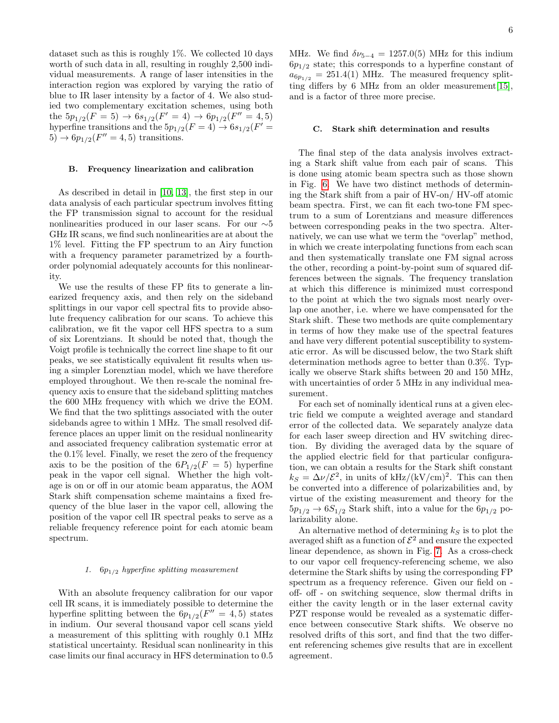dataset such as this is roughly 1%. We collected 10 days worth of such data in all, resulting in roughly 2,500 individual measurements. A range of laser intensities in the interaction region was explored by varying the ratio of blue to IR laser intensity by a factor of 4. We also studied two complementary excitation schemes, using both the  $5p_{1/2}(F=5) \rightarrow 6s_{1/2}(F'=4) \rightarrow 6p_{1/2}(F''=4,5)$ hyperfine transitions and the  $5p_{1/2}(F=4) \rightarrow 6s_{1/2}(F'=$  $5) \rightarrow 6p_{1/2}(F'' = 4, 5)$  transitions.

#### B. Frequency linearization and calibration

As described in detail in [\[10,](#page-8-7) [13\]](#page-8-10), the first step in our data analysis of each particular spectrum involves fitting the FP transmission signal to account for the residual nonlinearities produced in our laser scans. For our ∼5 GHz IR scans, we find such nonlinearities are at about the 1% level. Fitting the FP spectrum to an Airy function with a frequency parameter parametrized by a fourthorder polynomial adequately accounts for this nonlinearity.

We use the results of these FP fits to generate a linearized frequency axis, and then rely on the sideband splittings in our vapor cell spectral fits to provide absolute frequency calibration for our scans. To achieve this calibration, we fit the vapor cell HFS spectra to a sum of six Lorentzians. It should be noted that, though the Voigt profile is technically the correct line shape to fit our peaks, we see statistically equivalent fit results when using a simpler Lorenztian model, which we have therefore employed throughout. We then re-scale the nominal frequency axis to ensure that the sideband splitting matches the 600 MHz frequency with which we drive the EOM. We find that the two splittings associated with the outer sidebands agree to within 1 MHz. The small resolved difference places an upper limit on the residual nonlinearity and associated frequency calibration systematic error at the 0.1% level. Finally, we reset the zero of the frequency axis to be the position of the  $6P_{1/2}(F = 5)$  hyperfine peak in the vapor cell signal. Whether the high voltage is on or off in our atomic beam apparatus, the AOM Stark shift compensation scheme maintains a fixed frequency of the blue laser in the vapor cell, allowing the position of the vapor cell IR spectral peaks to serve as a reliable frequency reference point for each atomic beam spectrum.

## 1.  $6p_{1/2}$  hyperfine splitting measurement

With an absolute frequency calibration for our vapor cell IR scans, it is immediately possible to determine the hyperfine splitting between the  $6p_{1/2}(F'' = 4, 5)$  states in indium. Our several thousand vapor cell scans yield a measurement of this splitting with roughly 0.1 MHz statistical uncertainty. Residual scan nonlinearity in this case limits our final accuracy in HFS determination to 0.5

#### C. Stark shift determination and results

The final step of the data analysis involves extracting a Stark shift value from each pair of scans. This is done using atomic beam spectra such as those shown in Fig. [6.](#page-4-1) We have two distinct methods of determining the Stark shift from a pair of HV-on/ HV-off atomic beam spectra. First, we can fit each two-tone FM spectrum to a sum of Lorentzians and measure differences between corresponding peaks in the two spectra. Alternatively, we can use what we term the "overlap" method, in which we create interpolating functions from each scan and then systematically translate one FM signal across the other, recording a point-by-point sum of squared differences between the signals. The frequency translation at which this difference is minimized must correspond to the point at which the two signals most nearly overlap one another, i.e. where we have compensated for the Stark shift. These two methods are quite complementary in terms of how they make use of the spectral features and have very different potential susceptibility to systematic error. As will be discussed below, the two Stark shift determination methods agree to better than 0.3%. Typically we observe Stark shifts between 20 and 150 MHz, with uncertainties of order 5 MHz in any individual measurement.

For each set of nominally identical runs at a given electric field we compute a weighted average and standard error of the collected data. We separately analyze data for each laser sweep direction and HV switching direction. By dividing the averaged data by the square of the applied electric field for that particular configuration, we can obtain a results for the Stark shift constant  $k_S = \Delta \nu / \mathcal{E}^2$ , in units of kHz/(kV/cm)<sup>2</sup>. This can then be converted into a difference of polarizabilities and, by virtue of the existing measurement and theory for the  $5p_{1/2} \rightarrow 6S_{1/2}$  Stark shift, into a value for the  $6p_{1/2}$  polarizability alone.

An alternative method of determining  $k<sub>S</sub>$  is to plot the averaged shift as a function of  $\mathcal{E}^2$  and ensure the expected linear dependence, as shown in Fig. [7.](#page-6-0) As a cross-check to our vapor cell frequency-referencing scheme, we also determine the Stark shifts by using the corresponding FP spectrum as a frequency reference. Given our field on off- off - on switching sequence, slow thermal drifts in either the cavity length or in the laser external cavity PZT response would be revealed as a systematic difference between consecutive Stark shifts. We observe no resolved drifts of this sort, and find that the two different referencing schemes give results that are in excellent agreement.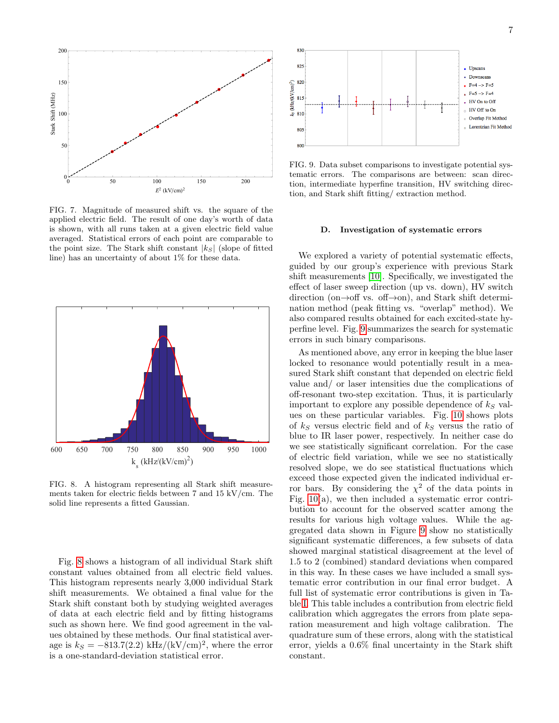

<span id="page-6-0"></span>FIG. 7. Magnitude of measured shift vs. the square of the applied electric field. The result of one day's worth of data is shown, with all runs taken at a given electric field value averaged. Statistical errors of each point are comparable to the point size. The Stark shift constant  $|k_S|$  (slope of fitted line) has an uncertainty of about 1% for these data.



<span id="page-6-1"></span>FIG. 8. A histogram representing all Stark shift measurements taken for electric fields between 7 and 15 kV/cm. The solid line represents a fitted Gaussian.

Fig. [8](#page-6-1) shows a histogram of all individual Stark shift constant values obtained from all electric field values. This histogram represents nearly 3,000 individual Stark shift measurements. We obtained a final value for the Stark shift constant both by studying weighted averages of data at each electric field and by fitting histograms such as shown here. We find good agreement in the values obtained by these methods. Our final statistical average is  $k_S = -813.7(2.2) \text{ kHz}/(\text{kV/cm})^2$ , where the error is a one-standard-deviation statistical error.



<span id="page-6-2"></span>FIG. 9. Data subset comparisons to investigate potential systematic errors. The comparisons are between: scan direction, intermediate hyperfine transition, HV switching direction, and Stark shift fitting/ extraction method.

#### D. Investigation of systematic errors

We explored a variety of potential systematic effects, guided by our group's experience with previous Stark shift measurements [\[10\]](#page-8-7). Specifically, we investigated the effect of laser sweep direction (up vs. down), HV switch direction (on→off vs. off→on), and Stark shift determination method (peak fitting vs. "overlap" method). We also compared results obtained for each excited-state hyperfine level. Fig. [9](#page-6-2) summarizes the search for systematic errors in such binary comparisons.

As mentioned above, any error in keeping the blue laser locked to resonance would potentially result in a measured Stark shift constant that depended on electric field value and/ or laser intensities due the complications of off-resonant two-step excitation. Thus, it is particularly important to explore any possible dependence of  $k<sub>S</sub>$  values on these particular variables. Fig. [10](#page-7-0) shows plots of  $k<sub>S</sub>$  versus electric field and of  $k<sub>S</sub>$  versus the ratio of blue to IR laser power, respectively. In neither case do we see statistically significant correlation. For the case of electric field variation, while we see no statistically resolved slope, we do see statistical fluctuations which exceed those expected given the indicated individual erfor bars. By considering the  $\chi^2$  of the data points in Fig.  $10(a)$ , we then included a systematic error contribution to account for the observed scatter among the results for various high voltage values. While the aggregated data shown in Figure [9](#page-6-2) show no statistically significant systematic differences, a few subsets of data showed marginal statistical disagreement at the level of 1.5 to 2 (combined) standard deviations when compared in this way. In these cases we have included a small systematic error contribution in our final error budget. A full list of systematic error contributions is given in Table [I.](#page-7-1) This table includes a contribution from electric field calibration which aggregates the errors from plate separation measurement and high voltage calibration. The quadrature sum of these errors, along with the statistical error, yields a 0.6% final uncertainty in the Stark shift constant.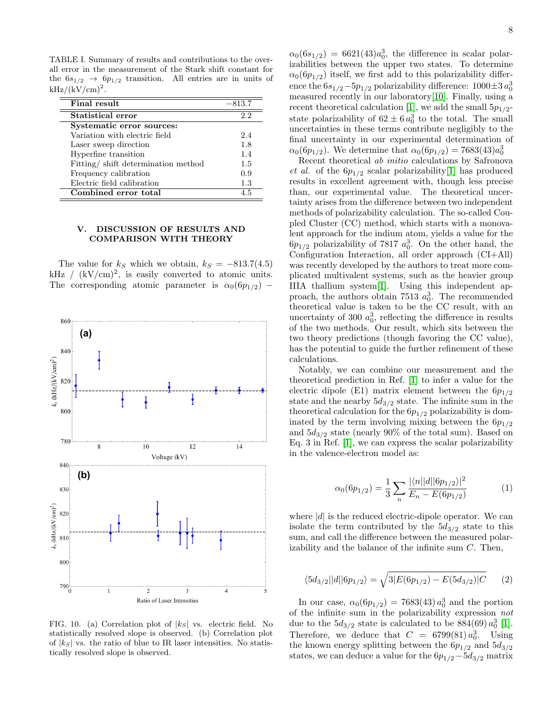<span id="page-7-1"></span>TABLE I. Summary of results and contributions to the overall error in the measurement of the Stark shift constant for the  $6s_{1/2} \rightarrow 6p_{1/2}$  transition. All entries are in units of  $kHz/(kV/cm)^2$ .

| Final result                       | $-813.7$ |
|------------------------------------|----------|
| Statistical error                  | 2.2      |
| Systematic error sources:          |          |
| Variation with electric field      | 2.4      |
| Laser sweep direction              | 1.8      |
| Hyperfine transition               | 1.4      |
| Fitting/shift determination method | 1.5      |
| Frequency calibration              | 0.9      |
| Electric field calibration         | 1.3      |
| Combined error total               | 4.5      |

### V. DISCUSSION OF RESULTS AND COMPARISON WITH THEORY

The value for  $k<sub>S</sub>$  which we obtain,  $k<sub>S</sub> = -813.7(4.5)$ kHz /  $(kV/cm)^2$ , is easily converted to atomic units. The corresponding atomic parameter is  $\alpha_0(6p_{1/2})$  –



<span id="page-7-0"></span>FIG. 10. (a) Correlation plot of  $|k_S|$  vs. electric field. No statistically resolved slope is observed. (b) Correlation plot of  $|k_S|$  vs. the ratio of blue to IR laser intensities. No statistically resolved slope is observed.

 $\alpha_0(6s_{1/2}) = 6621(43)a_0^3$ , the difference in scalar polarizabilities between the upper two states. To determine  $\alpha_0(6p_{1/2})$  itself, we first add to this polarizability difference the  $6s_{1/2} - 5p_{1/2}$  polarizability difference:  $1000 \pm 3 a_0^3$ measured recently in our laboratory[\[10\]](#page-8-7). Finally, using a recent theoretical calculation [\[1\]](#page-8-0), we add the small  $5p_{1/2}$ state polarizability of  $62 \pm 6 a_0^3$  to the total. The small uncertainties in these terms contribute negligibly to the final uncertainty in our experimental determination of  $\alpha_0(6p_{1/2})$ . We determine that  $\alpha_0(6p_{1/2}) = 7683(43)a_0^3$ 

Recent theoretical ab initio calculations by Safronova et al. of the  $6p_{1/2}$  scalar polarizability[\[1\]](#page-8-0) has produced results in excellent agreement with, though less precise than, our experimental value. The theoretical uncertainty arises from the difference between two independent methods of polarizability calculation. The so-called Coupled Cluster (CC) method, which starts with a monovalent approach for the indium atom, yields a value for the  $6p_{1/2}$  polarizability of 7817  $a_0^3$ . On the other hand, the Configuration Interaction, all order approach (CI+All) was recently developed by the authors to treat more complicated multivalent systems, such as the heavier group IIIA thallium system[\[1\]](#page-8-0). Using this independent approach, the authors obtain 7513  $a_0^3$ . The recommended theoretical value is taken to be the CC result, with an uncertainty of 300  $a_0^3$ , reflecting the difference in results of the two methods. Our result, which sits between the two theory predictions (though favoring the CC value), has the potential to guide the further refinement of these calculations.

Notably, we can combine our measurement and the theoretical prediction in Ref. [\[1\]](#page-8-0) to infer a value for the electric dipole (E1) matrix element between the  $6p_{1/2}$ state and the nearby  $5d_{3/2}$  state. The infinite sum in the theoretical calculation for the  $6p_{1/2}$  polarizability is dominated by the term involving mixing between the  $6p_{1/2}$ and  $5d_{3/2}$  state (nearly 90% of the total sum). Based on Eq. 3 in Ref. [\[1\]](#page-8-0), we can express the scalar polarizability in the valence-electron model as:

$$
\alpha_0(6p_{1/2}) = \frac{1}{3} \sum_n \frac{|\langle n||d||6p_{1/2}\rangle|^2}{E_n - E(6p_{1/2})} \tag{1}
$$

where  $|d|$  is the reduced electric-dipole operator. We can isolate the term contributed by the  $5d_{3/2}$  state to this sum, and call the difference between the measured polarizability and the balance of the infinite sum  $C$ . Then,

<span id="page-7-2"></span>
$$
\langle 5d_{3/2}||d||6p_{1/2}\rangle = \sqrt{3|E(6p_{1/2}) - E(5d_{3/2})|C} \qquad (2)
$$

In our case,  $\alpha_0(6p_{1/2}) = 7683(43) a_0^3$  and the portion of the infinite sum in the polarizability expression not due to the  $5d_{3/2}$  state is calculated to be  $884(69) a_0^3$  [\[1\]](#page-8-0). Therefore, we deduce that  $C = 6799(81) a_0^3$ . Using the known energy splitting between the  $6p_{1/2}$  and  $5d_{3/2}$ states, we can deduce a value for the  $6p_{1/2}$  -  $5d_{3/2}$  matrix